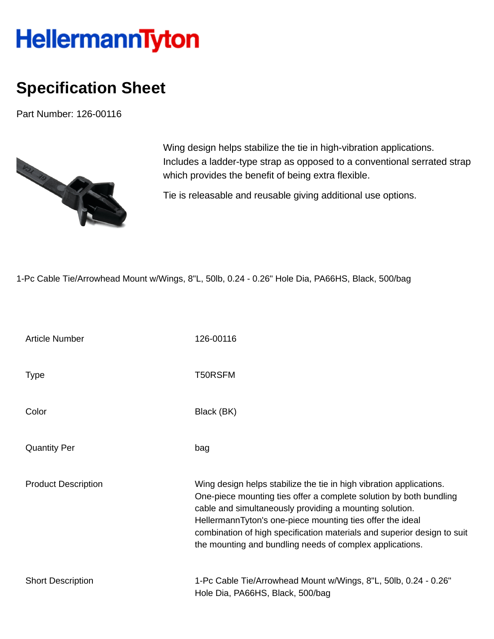## **HellermannTyton**

## **Specification Sheet**

Part Number: 126-00116



Wing design helps stabilize the tie in high-vibration applications. Includes a ladder-type strap as opposed to a conventional serrated strap which provides the benefit of being extra flexible.

Tie is releasable and reusable giving additional use options.

1-Pc Cable Tie/Arrowhead Mount w/Wings, 8"L, 50lb, 0.24 - 0.26" Hole Dia, PA66HS, Black, 500/bag

| <b>Article Number</b>      | 126-00116                                                                                                                                                                                                                                                                                                                                                                                                |
|----------------------------|----------------------------------------------------------------------------------------------------------------------------------------------------------------------------------------------------------------------------------------------------------------------------------------------------------------------------------------------------------------------------------------------------------|
| <b>Type</b>                | T50RSFM                                                                                                                                                                                                                                                                                                                                                                                                  |
| Color                      | Black (BK)                                                                                                                                                                                                                                                                                                                                                                                               |
| <b>Quantity Per</b>        | bag                                                                                                                                                                                                                                                                                                                                                                                                      |
| <b>Product Description</b> | Wing design helps stabilize the tie in high vibration applications.<br>One-piece mounting ties offer a complete solution by both bundling<br>cable and simultaneously providing a mounting solution.<br>HellermannTyton's one-piece mounting ties offer the ideal<br>combination of high specification materials and superior design to suit<br>the mounting and bundling needs of complex applications. |
| <b>Short Description</b>   | 1-Pc Cable Tie/Arrowhead Mount w/Wings, 8"L, 50lb, 0.24 - 0.26"<br>Hole Dia, PA66HS, Black, 500/bag                                                                                                                                                                                                                                                                                                      |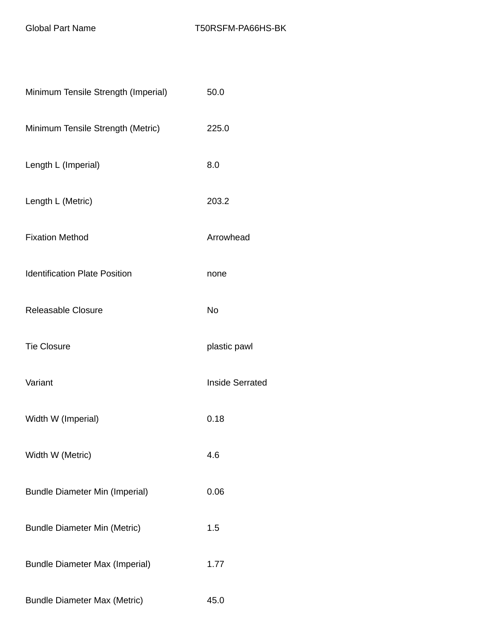| Minimum Tensile Strength (Imperial)   | 50.0                   |
|---------------------------------------|------------------------|
| Minimum Tensile Strength (Metric)     | 225.0                  |
| Length L (Imperial)                   | 8.0                    |
| Length L (Metric)                     | 203.2                  |
| <b>Fixation Method</b>                | Arrowhead              |
| <b>Identification Plate Position</b>  | none                   |
| Releasable Closure                    | <b>No</b>              |
| <b>Tie Closure</b>                    | plastic pawl           |
| Variant                               | <b>Inside Serrated</b> |
| Width W (Imperial)                    | 0.18                   |
| Width W (Metric)                      | 4.6                    |
| <b>Bundle Diameter Min (Imperial)</b> | 0.06                   |
| <b>Bundle Diameter Min (Metric)</b>   | 1.5                    |
| <b>Bundle Diameter Max (Imperial)</b> | 1.77                   |
| <b>Bundle Diameter Max (Metric)</b>   | 45.0                   |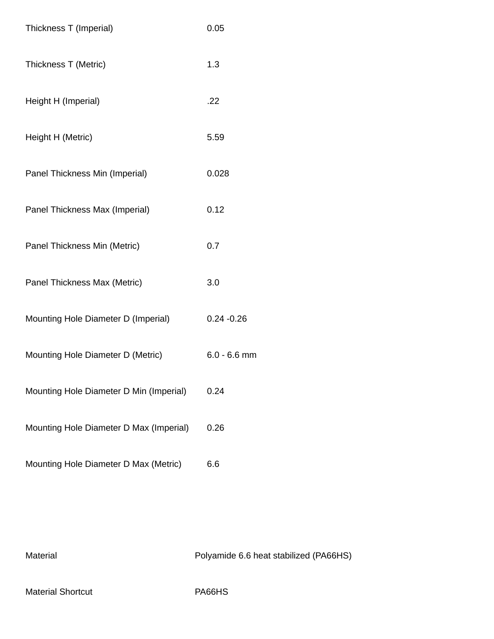| Thickness T (Imperial)                  | 0.05           |
|-----------------------------------------|----------------|
| Thickness T (Metric)                    | 1.3            |
| Height H (Imperial)                     | .22            |
| Height H (Metric)                       | 5.59           |
| Panel Thickness Min (Imperial)          | 0.028          |
| Panel Thickness Max (Imperial)          | 0.12           |
| Panel Thickness Min (Metric)            | 0.7            |
| Panel Thickness Max (Metric)            | 3.0            |
| Mounting Hole Diameter D (Imperial)     | $0.24 - 0.26$  |
| Mounting Hole Diameter D (Metric)       | $6.0 - 6.6$ mm |
| Mounting Hole Diameter D Min (Imperial) | 0.24           |
| Mounting Hole Diameter D Max (Imperial) | 0.26           |
| Mounting Hole Diameter D Max (Metric)   | 6.6            |

Material Material Material Research Material Polyamide 6.6 heat stabilized (PA66HS)

Material Shortcut **PA66HS**